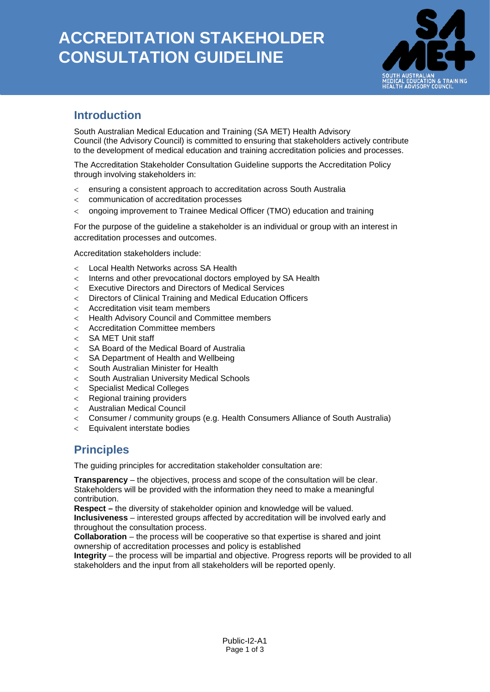# **ACCREDITATION STAKEHOLDER CONSULTATION GUIDELINE**



# **Introduction**

South Australian Medical Education and Training (SA MET) Health Advisory Council (the Advisory Council) is committed to ensuring that stakeholders actively contribute to the development of medical education and training accreditation policies and processes.

The Accreditation Stakeholder Consultation Guideline supports the Accreditation Policy through involving stakeholders in:

- < ensuring a consistent approach to accreditation across South Australia
- < communication of accreditation processes
- < ongoing improvement to Trainee Medical Officer (TMO) education and training

For the purpose of the guideline a stakeholder is an individual or group with an interest in accreditation processes and outcomes.

Accreditation stakeholders include:

- < Local Health Networks across SA Health
- < Interns and other prevocational doctors employed by SA Health
- < Executive Directors and Directors of Medical Services
- < Directors of Clinical Training and Medical Education Officers
- < Accreditation visit team members
- < Health Advisory Council and Committee members
- < Accreditation Committee members
- < SA MET Unit staff
- < SA Board of the Medical Board of Australia
- < SA Department of Health and Wellbeing
- < South Australian Minister for Health
- < South Australian University Medical Schools
- < Specialist Medical Colleges
- < Regional training providers
- < Australian Medical Council
- < Consumer / community groups (e.g. Health Consumers Alliance of South Australia)
- < Equivalent interstate bodies

# **Principles**

The guiding principles for accreditation stakeholder consultation are:

**Transparency** – the objectives, process and scope of the consultation will be clear. Stakeholders will be provided with the information they need to make a meaningful contribution.

**Respect –** the diversity of stakeholder opinion and knowledge will be valued.

**Inclusiveness** – interested groups affected by accreditation will be involved early and throughout the consultation process.

**Collaboration** – the process will be cooperative so that expertise is shared and joint ownership of accreditation processes and policy is established

**Integrity** – the process will be impartial and objective. Progress reports will be provided to all stakeholders and the input from all stakeholders will be reported openly.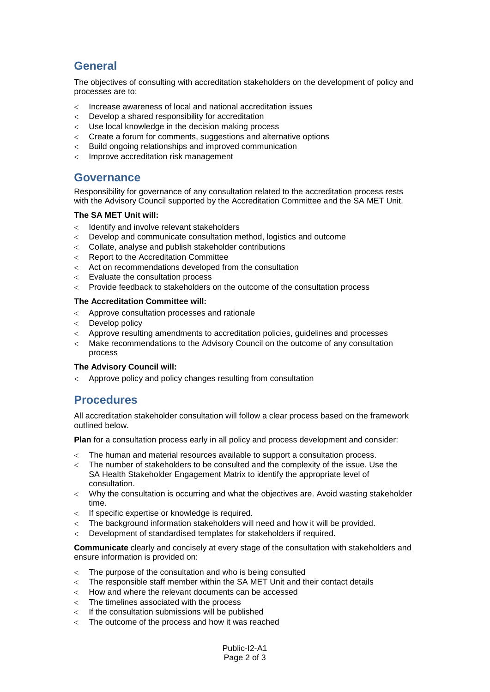# **General**

The objectives of consulting with accreditation stakeholders on the development of policy and processes are to:

- < Increase awareness of local and national accreditation issues
- < Develop a shared responsibility for accreditation
- < Use local knowledge in the decision making process
- < Create a forum for comments, suggestions and alternative options
- < Build ongoing relationships and improved communication
- < Improve accreditation risk management

### **Governance**

Responsibility for governance of any consultation related to the accreditation process rests with the Advisory Council supported by the Accreditation Committee and the SA MET Unit.

#### **The SA MET Unit will:**

- < Identify and involve relevant stakeholders
- < Develop and communicate consultation method, logistics and outcome
- < Collate, analyse and publish stakeholder contributions
- < Report to the Accreditation Committee
- < Act on recommendations developed from the consultation
- < Evaluate the consultation process
- < Provide feedback to stakeholders on the outcome of the consultation process

#### **The Accreditation Committee will:**

- < Approve consultation processes and rationale
- < Develop policy
- < Approve resulting amendments to accreditation policies, guidelines and processes
- < Make recommendations to the Advisory Council on the outcome of any consultation process

#### **The Advisory Council will:**

< Approve policy and policy changes resulting from consultation

### **Procedures**

All accreditation stakeholder consultation will follow a clear process based on the framework outlined below.

**Plan** for a consultation process early in all policy and process development and consider:

- < The human and material resources available to support a consultation process.
- < The number of stakeholders to be consulted and the complexity of the issue. Use the SA Health Stakeholder Engagement Matrix to identify the appropriate level of consultation.
- < Why the consultation is occurring and what the objectives are. Avoid wasting stakeholder time.
- < If specific expertise or knowledge is required.
- < The background information stakeholders will need and how it will be provided.
- < Development of standardised templates for stakeholders if required.

**Communicate** clearly and concisely at every stage of the consultation with stakeholders and ensure information is provided on:

- < The purpose of the consultation and who is being consulted
- < The responsible staff member within the SA MET Unit and their contact details
- < How and where the relevant documents can be accessed
- < The timelines associated with the process
- < If the consultation submissions will be published
- < The outcome of the process and how it was reached